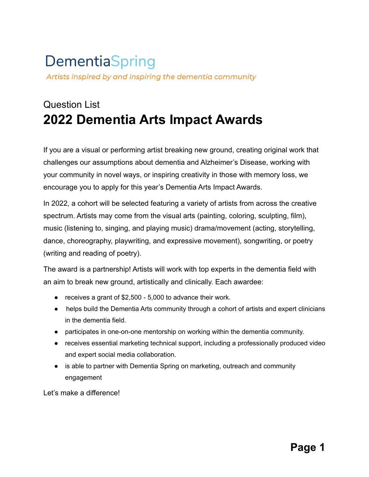# **DementiaSpring** Artists inspired by and inspiring the dementia community

# Question List **2022 Dementia Arts Impact Awards**

If you are a visual or performing artist breaking new ground, creating original work that challenges our assumptions about dementia and Alzheimer's Disease, working with your community in novel ways, or inspiring creativity in those with memory loss, we encourage you to apply for this year's Dementia Arts Impact Awards.

In 2022, a cohort will be selected featuring a variety of artists from across the creative spectrum. Artists may come from the visual arts (painting, coloring, sculpting, film), music (listening to, singing, and playing music) drama/movement (acting, storytelling, dance, choreography, playwriting, and expressive movement), songwriting, or poetry (writing and reading of poetry).

The award is a partnership! Artists will work with top experts in the dementia field with an aim to break new ground, artistically and clinically. Each awardee:

- receives a grant of \$2,500 5,000 to advance their work.
- helps build the Dementia Arts community through a cohort of artists and expert clinicians in the dementia field.
- participates in one-on-one mentorship on working within the dementia community.
- receives essential marketing technical support, including a professionally produced video and expert social media collaboration.
- is able to partner with Dementia Spring on marketing, outreach and community engagement

Let's make a difference!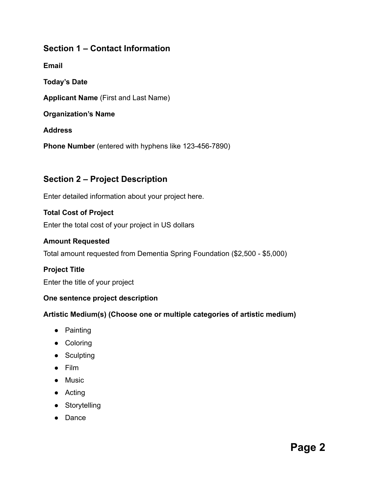# **Section 1 – Contact Information**

**Email**

**Today's Date**

**Applicant Name** (First and Last Name)

**Organization's Name**

#### **Address**

**Phone Number** (entered with hyphens like 123-456-7890)

# **Section 2 – Project Description**

Enter detailed information about your project here.

#### **Total Cost of Project**

Enter the total cost of your project in US dollars

#### **Amount Requested**

Total amount requested from Dementia Spring Foundation (\$2,500 - \$5,000)

# **Project Title**

Enter the title of your project

#### **One sentence project description**

#### **Artistic Medium(s) (Choose one or multiple categories of artistic medium)**

- Painting
- Coloring
- Sculpting
- Film
- Music
- Acting
- Storytelling
- Dance